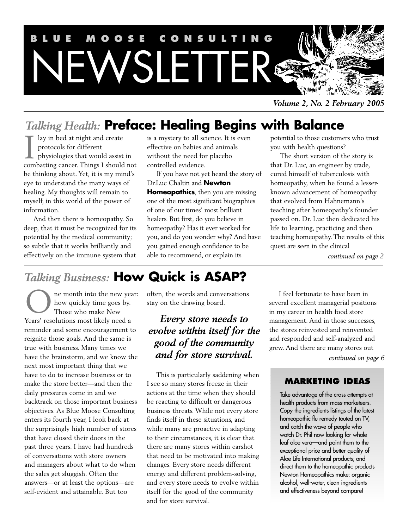

*Volume 2, No. 2 February 2005*

# *Talking Health:* **Preface: Healing Begins with Balance**

lay in bed at night and create protocols for different physiologies that would assist in I ay in bed at night and create<br>protocols for different<br>physiologies that would assist in<br>combatting cancer. Things I should not be thinking about. Yet, it is my mind's eye to understand the many ways of healing. My thoughts will remain to myself, in this world of the power of information.

And then there is homeopathy. So deep, that it must be recognized for its potential by the medical community; so subtle that it works brilliantly and effectively on the immune system that

is a mystery to all science. It is even effective on babies and animals without the need for placebo controlled evidence.

If you have not yet heard the story of Dr.Luc Chaltin and **Newton Homeopathics**, then you are missing one of the most significant biographies of one of our times' most brilliant healers. But first, do you believe in homeopathy? Has it ever worked for you, and do you wonder why? And have you gained enough confidence to be able to recommend, or explain its

potential to those customers who trust you with health questions?

The short version of the story is that Dr. Luc, an engineer by trade, cured himself of tuberculosis with homeopathy, when he found a lesserknown advancement of homeopathy that evolved from Hahnemann's teaching after homeopathy's founder passed on. Dr. Luc then dedicated his life to learning, practicing and then teaching homeopathy. The results of this quest are seen in the clinical

*continued on page 2*

# *Talking Business:* **How Quick is ASAP?**

ne month into the new year: how quickly time goes by. Those who make New Years' resolutions most likely need a reminder and some encouragement to reignite those goals. And the same is true with business. Many times we have the brainstorm, and we know the next most important thing that we have to do to increase business or to make the store better—and then the daily pressures come in and we backtrack on those important business objectives. As Blue Moose Consulting enters its fourth year, I look back at the surprisingly high number of stores that have closed their doors in the past three years. I have had hundreds of conversations with store owners and managers about what to do when the sales get sluggish. Often the answers—or at least the options—are self-evident and attainable. But too O

often, the words and conversations stay on the drawing board.

# *Every store needs to evolve within itself for the good of the community* **and for store survival.** *continued on page 6*

This is particularly saddening when I see so many stores freeze in their actions at the time when they should be reacting to difficult or dangerous business threats. While not every store finds itself in these situations, and while many are proactive in adapting to their circumstances, it is clear that there are many stores within earshot that need to be motivated into making changes. Every store needs different energy and different problem-solving, and every store needs to evolve within itself for the good of the community and for store survival.

I feel fortunate to have been in several excellent managerial positions in my career in health food store management. And in those successes, the stores reinvested and reinvented and responded and self-analyzed and grew. And there are many stores out

## **MARKETING IDEAS**

Take advantage of the crass attempts at health products from mass-marketeers. Copy the ingredients listings of the latest homeopathic flu remedy touted on TV, and catch the wave of people who watch Dr. Phil now looking for whole leaf aloe vera—and point them to the exceptional price and better quality of Aloe Life International products; and direct them to the homeopathic products Newton Homeopathics make: organic alcohol, well-water, clean ingredients and effectiveness beyond compare!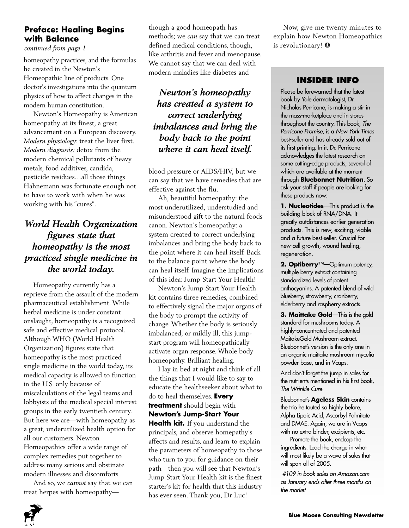# **Preface: Healing Begins with Balance**

*continued from page 1*

homeopathy practices, and the formulas he created in the Newton's Homeopathic line of products. One doctor's investigations into the quantum physics of how to affect changes in the modern human constitution.

Newton's Homeopathy is American homeopathy at its finest, a great advancement on a European discovery. *Modern physiology*: treat the liver first. *Modern diagnosis:* detox from the modern chemical pollutants of heavy metals, food additives, candida, pesticide residues…all those things Hahnemann was fortunate enough not to have to work with when he was working with his "cures".

# *World Health Organization figures state that homeopathy is the most practiced single medicine in the world today.*

Homeopathy currently has a reprieve from the assault of the modern pharmaceutical establishment. While herbal medicine is under constant onslaught, homeopathy is a recognized safe and effective medical protocol. Although WHO (World Health Organization) figures state that homeopathy is the most practiced single medicine in the world today, its medical capacity is allowed to function in the U.S. only because of miscalculations of the legal teams and lobbyists of the medical special interest groups in the early twentieth century. But here we are—with homeopathy as a great, underutilized health option for all our customers. Newton Homeopathics offer a wide range of complex remedies put together to address many serious and obstinate modern illnesses and discomforts.

And so, we *cannot* say that we can treat herpes with homeopathythough a good homeopath has methods; we *can* say that we can treat defined medical conditions, though, like arthritis and fever and menopause. We cannot say that we can deal with modern maladies like diabetes and

# *Newton's homeopathy has created a system to correct underlying imbalances and bring the body back to the point where it can heal itself.*

blood pressure or AIDS/HIV, but we can say that we have remedies that are effective against the flu.

Ah, beautiful homeopathy: the most underutilized, understudied and misunderstood gift to the natural foods canon. Newton's homeopathy: a system created to correct underlying imbalances and bring the body back to the point where it can heal itself. Back to the balance point where the body can heal itself. Imagine the implications of this idea: Jump Start Your Health!

Newton's Jump Start Your Health kit contains three remedies, combined to effectively signal the major organs of the body to prompt the activity of change. Whether the body is seriously imbalanced, or mildly ill, this jumpstart program will homeopathically activate organ response. Whole body homeopathy. Brilliant healing.

I lay in bed at night and think of all the things that I would like to say to educate the healthseeker about what to do to heal themselves. **Every treatment** should begin with **Newton's Jump-Start Your Health kit.** If you understand the principals, and observe homepathy's affects and results, and learn to explain the parameters of homeopathy to those who turn to you for guidance on their path—then you will see that Newton's Jump Start Your Health kit is the finest starter's kit for health that this industry has ever seen. Thank you, Dr Luc!

Now, give me twenty minutes to explain how Newton Homeopathics is revolutionary! ❂

## **INSIDER INFO**

Please be forewarned that the latest book by Yale dermatologist, Dr. Nicholas Perricone, is making a stir in the mass-marketplace and in stores throughout the country. This book, The Perricone Promise, is a New York Times best-seller and has already sold out of its first printing. In it, Dr. Perricone acknowledges the latest research on some cutting-edge products, several of which are available at the moment through **Bluebonnet Nutrition**. So ask your staff if people are looking for these products now:

**1. Nucleotides**—This product is the building block of RNA/DNA. It greatly outdistances earlier generation products. This is new, exciting, viable and a future best-seller. Crucial for new-cell growth, wound healing, regeneration.

**2. Optiberry**™—Optimum potency, multiple berry extract containing standardized levels of potent anthocyanins. A patented blend of wild blueberry, strawberry, cranberry, elderberry and raspberry extracts.

**3. Maittake Gold**—This is the gold standard for mushrooms today. A highly-concentrated and patented MaitakeGold Mushroom extract. Bluebonnet's version is the only one in an organic maittake mushroom mycelia powder base, and in Vcaps.

And don't forget the jump in sales for the nutrients mentioned in his first book, The Wrinkle Cure.

Bluebonnet's **Ageless Skin** contains the trio he touted so highly before, Alpha Lipoic Acid, Ascorbyl Palmitate and DMAE. Again, we are in Vcaps with no extra binder, excipients, etc.

Promote the book, endcap the ingredients. Lead the charge in what will most likely be a wave of sales that will span all of 2005.

#109 in book sales on Amazon.com as January ends after three months on the market

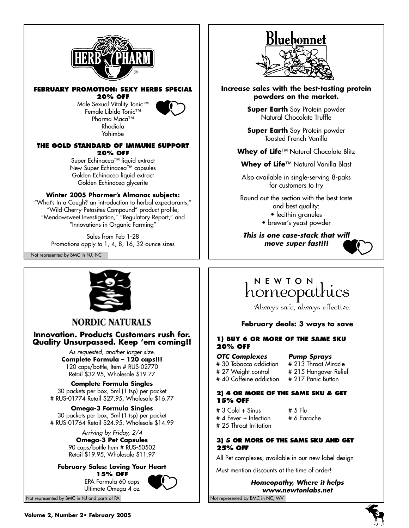

#### **FEBRUARY PROMOTION: SEXY HERBS SPECIAL 20% OFF**

Male Sexual Vitality Tonic™ Female Libido Tonic™ Pharma Maca™ Rhodiola Yohimbe



#### **THE GOLD STANDARD OF IMMUNE SUPPORT 20% OFF**

Super Echinacea™ liquid extract New Super Echinacea™ capsules Golden Echinacea liquid extract Golden Echinacea glycerite

#### **Winter 2005 Pharmer's Almanac subjects:**

"What's In a Cough? an introduction to herbal expectorants," "Wild-Cherry-Petasites Compound" product profile, "Meadowsweet Investigation," "Regulatory Report," and "Innovations in Organic Farming"

Sales from Feb 1-28 Promotions apply to 1, 4, 8, 16, 32-ounce sizes Not represented by BMC in NJ, NC



# **NORDIC NATURALS**

#### **Innovation. Products Customers rush for. Quality Unsurpassed. Keep 'em coming!!**

As requested, another larger size. **Complete Formula – 120 caps!!!** 120 caps/bottle, Item # RUS-02770 Retail \$32.95, Wholesale \$19.77

**Complete Formula Singles** 30 packets per box, 5ml (1 tsp) per packet # RUS-01774 Retail \$27.95, Wholesale \$16.77

**Omega-3 Formula Singles** 30 packets per box, 5ml (1 tsp) per packet # RUS-01764 Retail \$24.95, Wholesale \$14.99

> Arriving by Friday, 2/4 **Omega-3 Pet Capsules** 90 caps/bottle Item # RUS-50502 Retail \$19.95, Wholesale \$11.97

#### **February Sales: Loving Your Heart 15% OFF**

EPA Formula 60 caps Ultimate Omega 4 oz





**Increase sales with the best-tasting protein powders on the market.**

> **Super Earth** Soy Protein powder Natural Chocolate Truffle

> **Super Earth** Soy Protein powder Toasted French Vanilla

**Whey of Life**™ Natural Chocolate Blitz

**Whey of Life**™ Natural Vanilla Blast

Also available in single-serving 8-paks for customers to try

Round out the section with the best taste and best quality: • lecithin granules • brewer's yeast powder

**This is one case-stack that will move super fast!!!**



# NEWTON homeopathics

Always safe, always effective.

### **February deals: 3 ways to save**

#### **1) BUY 6 OR MORE OF THE SAME SKU 20% OFF**

#### **OTC Complexes Pump Sprays**

# 40 Caffeine addiction

# 30 Tobacco addiction # 213 Throat Miracle # 27 Weight control # 215 Hangover Relief<br># 40 Caffeine addiction # 217 Panic Button

#### **2) 4 OR MORE OF THE SAME SKU & GET 15% OFF**

# 3 Cold + Sinus # 5 Flu<br># 4 Fever + Infection # 6 Earache  $# 4$  Fever  $+$  Infection # 25 Throat Irritation

#### **3) 5 OR MORE OF THE SAME SKU AND GET 25% OFF**

All Pet complexes, available in our new label design

Must mention discounts at the time of order!

**Homeopathy, Where it helps www.newtonlabs.net**

Not represented by BMC in NJ and parts of PA Not represented by BMC in NC, WV

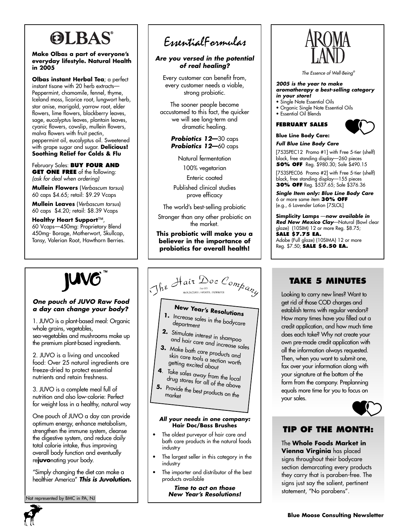# **OLBAS®**

#### **Make Olbas a part of everyone's everyday lifestyle. Natural Health in 2005**

**Olbas instant Herbal Tea**; a perfect instant tisane with 20 herb extracts— Peppermint, chamomile, fennel, thyme, Iceland moss, licorice root, lungwort herb, star anise, marigold, yarrow root, elder flowers, lime flowers, blackberry leaves, sage, eucalyptus leaves, plantain leaves, cyanic flowers, cowslip, mullein flowers, malva flowers with fruit pectin, peppermint oil, eucalyptus oil. Sweetened with grape sugar and sugar. **Delicious! Soothing Relief for Colds & Flu**

#### February Sales: **BUY FOUR AND GET ONE FREE** of the following: (ask for deal when ordering)

**Mullein Flowers** (Verbascum tarsus) 60 caps \$4.65; retail: \$9.29 Vcaps

**Mullein Leaves** (Verbascum tarsus) 60 caps \$4.20; retail: \$8.39 Vcaps

**Healthy Heart Support**™, 60 Vcaps—450mg: Proprietary Blend 450mg- Borage, Motherwort, Skullcap, Tansy, Valerian Root, Hawthorn Berries.

#### **One pouch of JUVO Raw Food a day can change your body?**

1. JUVO is a plant-based meal: Organic whole grains, vegetables, sea-vegetables and mushrooms make up the premium plant-based ingredients.

2. JUVO is a living and uncooked food: Over 25 natural ingredients are freeze-dried to protect essential nutrients and retain freshness.

3. JUVO is a complete meal full of nutrition and also low-calorie: Perfect for weight loss in a healthy, natural way

One pouch of JUVO a day can provide optimum energy, enhance metabolism, strengthen the immune system, cleanse the digestive system, and reduce daily total calorie intake, thus improving overall body function and eventually re**juvo**nating your body.

"Simply changing the diet can make a healthier America" **This is Juvolution.**

lot represented by BMC in PA, NJ

# EssentialFormulas

#### **Are you versed in the potential of real healing?**

Every customer can benefit from, every customer needs a viable, strong probiotic.

The sooner people become accustomed to this fact, the quicker we will see long-term and dramatic healing.

> **Probiotics 12—**30 caps **Probiotics 12—**60 caps

> > Natural fermentation

100% vegetarian

Enteric coated

Published clinical studies prove efficacy

The world's best-selling probiotic

Stronger than any other probiotic on the market.

**This probiotic will make you a believer in the importance of probiotics for overall health!**

# The Hair Doc Company

# **New Year's Resolutions**

- **1.** Increase sales in the bodycare department
- **2.** Stimulate interest in shampoo and hair care and increase sales
- **3.** Make bath care products and skin care tools a section worth<br>getting excited a section worth getting excited about
- **<sup>4</sup>**. Take sales away from the local drug stores for all of the local<br>Provided with a low of the above
- **5.** Provide the best products on the<br>market

#### **All your needs in one company: Hair Doc/Bass Brushes**

- The oldest purveyor of hair care and bath care products in the natural foods industry
- The largest seller in this category in the industry
- The importer and distributor of the best products available

**Time to act on those New Year's Resolutions!**



The Essence of Well-Being®

#### **2005 is the year to make aromatherapy a best-selling category in your store!**

- Single Note Essential Oils
- Organic Single Note Essential Oils
- Essential Oil Blends

#### **FEBRUARY SALES**

**Blue Line Body Care:**

#### **Full Blue Line Body Care**

[753SPEC12 Promo #1] with Free 5-tier (shelf) black, free standing display—260 pieces **50% OFF** Reg. \$980.30; Sale \$490.15

i

[753SPEC06 Promo #2] with Free 5-tier (shelf) black, free standing display—155 pieces **30% OFF** Reg. \$537.65; Sale \$376.36

**Single Item only: Blue Line Body Care** 6 or more same item **30% OFF** (e.g., 6 Lavender Lotion [75LOL]

**Simplicity Lamps** —**now available in Red New Mexico Clay**—Natural (Bowl clear glaze) (10SIM) 12 or more Reg. \$8.75; **SALE \$7.75 EA.**  Adobe (Full glaze) (10SIMA) 12 or more Reg. \$7.50; **SALE \$6.50 EA.** 

# **TAKE 5 MINUTES**

Looking to carry new lines? Want to get rid of those COD charges and establish terms with regular vendors? How many times have you filled out a credit application, and how much time does each take? Why not create your own pre-made credit application with all the information always requested. Then, when you want to submit one, fax over your information along with your signature at the bottom of the form from the company. Preplanning equals more time for you to focus on your sales.



## **TIP OF THE MONTH:**

The **Whole Foods Market in Vienna Virginia** has placed signs throughout their bodycare section demarcating every products they carry that is paraben-free. The signs just say the salient, pertinent statement, "No parabens".

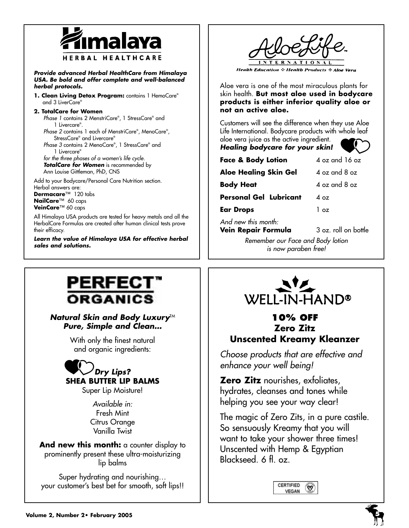

**Provide advanced Herbal HealthCare from Himalaya USA. Be bold and offer complete and well-balanced herbal protocols.**

**1. Clean Living Detox Program:** contains 1 HemoCare® and 3 LiverCare®

#### **2. TotalCare for Women**

Phase 1 contains 2 MenstriCare® , 1 StressCare® and 1 Livercare® .

Phase 2 contains 1 each of MenstriCare® , MenoCare® , StressCare® and Livercare®

Phase 3 contains 2 MenoCare® , 1 StressCare® and 1 Livercare®

for the three phases of a women's life cycle. **TotalCare for Women** is recommended by Ann Louise Gittleman, PhD, CNS

Add to your Bodycare/Personal Care Nutrition section. Herbal answers are: **Dermacare**™ 120 tabs **NailCare**™ 60 caps

**VeinCare**™ 60 caps All Himalaya USA products are tested for heavy metals and all the

HerbalCare Formulas are created after human clinical tests prove their efficacy.

**Learn the value of Himalaya USA for effective herbal sales and solutions.**



**Health Education : Health Products : Aloe Vera** 

Aloe vera is one of the most miraculous plants for skin health. **But most aloe used in bodycare products is either inferior quality aloe or not an active aloe.**

Customers will see the difference when they use Aloe Life International. Bodycare products with whole leaf aloe vera juice as the active ingredient.

#### **Healing bodycare for your skin!**

| <b>SKIII</b> : |  |
|----------------|--|
| 4 oz and 16 oz |  |

**Aloe Healing Skin Gel** 4 oz and 8 oz **Body Heat**  $4 \text{ oz}$  and  $8 \text{ oz}$ 

**Personal Gel Lubricant** 4 oz

**Ear Drops** 1 oz

And new this month:

**Face & Body Lotion** 

**Vein Repair Formula** 3 oz. roll on bottle

Remember our Face and Body lotion is now paraben free!

# PERFECT **ORGANICS**

# **Natural Skin and Body Luxury<sup>TM</sup> Pure, Simple and Clean…**

With only the finest natural and organic ingredients:



Super Lip Moisture!

Available in: Fresh Mint Citrus Orange Vanilla Twist

And new this month: a counter display to prominently present these ultra-moisturizing lip balms

Super hydrating and nourishing… your customer's best bet for smooth, soft lips!!



# **10% OFF Zero Zitz Unscented Kreamy Kleanzer**

Choose products that are effective and enhance your well being!

**Zero Zitz** nourishes, exfoliates, hydrates, cleanses and tones while helping you see your way clear!

The magic of Zero Zits, in a pure castile. So sensuously Kreamy that you will want to take your shower three times! Unscented with Hemp & Egyptian Blackseed. 6 fl. oz.